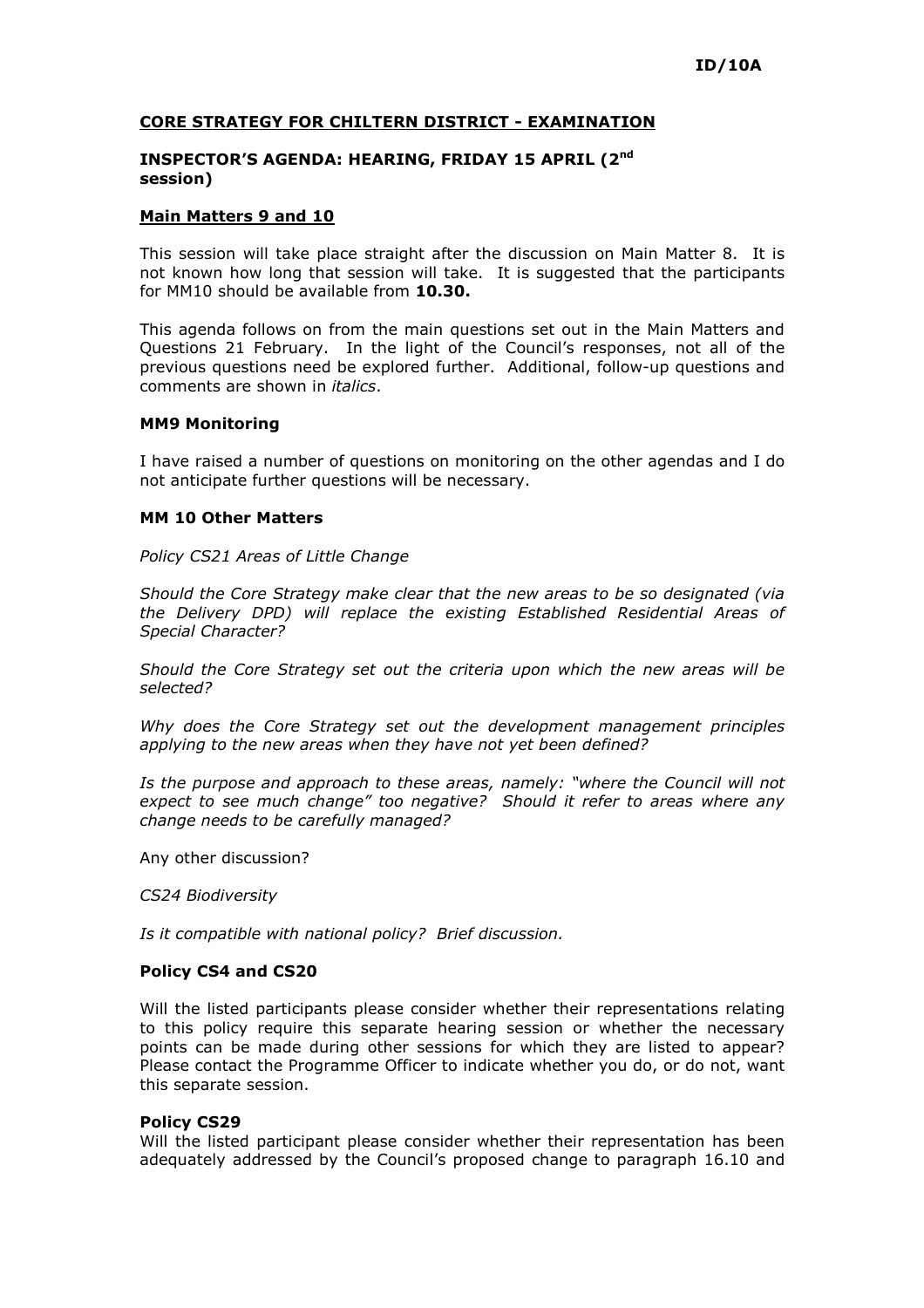## CORE STRATEGY FOR CHILTERN DISTRICT - EXAMINATION

## INSPECTOR'S AGENDA: HEARING, FRIDAY 15 APRIL (2nd session)

## Main Matters 9 and 10

This session will take place straight after the discussion on Main Matter 8. It is not known how long that session will take. It is suggested that the participants for MM10 should be available from 10.30.

This agenda follows on from the main questions set out in the Main Matters and Questions 21 February. In the light of the Council's responses, not all of the previous questions need be explored further. Additional, follow-up questions and comments are shown in *italics*.

#### MM9 Monitoring

I have raised a number of questions on monitoring on the other agendas and I do not anticipate further questions will be necessary.

## MM 10 Other Matters

Policy CS21 Areas of Little Change

Should the Core Strategy make clear that the new areas to be so designated (via the Delivery DPD) will replace the existing Established Residential Areas of Special Character?

Should the Core Strategy set out the criteria upon which the new areas will be selected?

Why does the Core Strategy set out the development management principles applying to the new areas when they have not yet been defined?

Is the purpose and approach to these areas, namely: "where the Council will not expect to see much change" too negative? Should it refer to areas where any change needs to be carefully managed?

Any other discussion?

CS24 Biodiversity

Is it compatible with national policy? Brief discussion.

#### Policy CS4 and CS20

Will the listed participants please consider whether their representations relating to this policy require this separate hearing session or whether the necessary points can be made during other sessions for which they are listed to appear? Please contact the Programme Officer to indicate whether you do, or do not, want this separate session.

#### Policy CS29

Will the listed participant please consider whether their representation has been adequately addressed by the Council's proposed change to paragraph 16.10 and